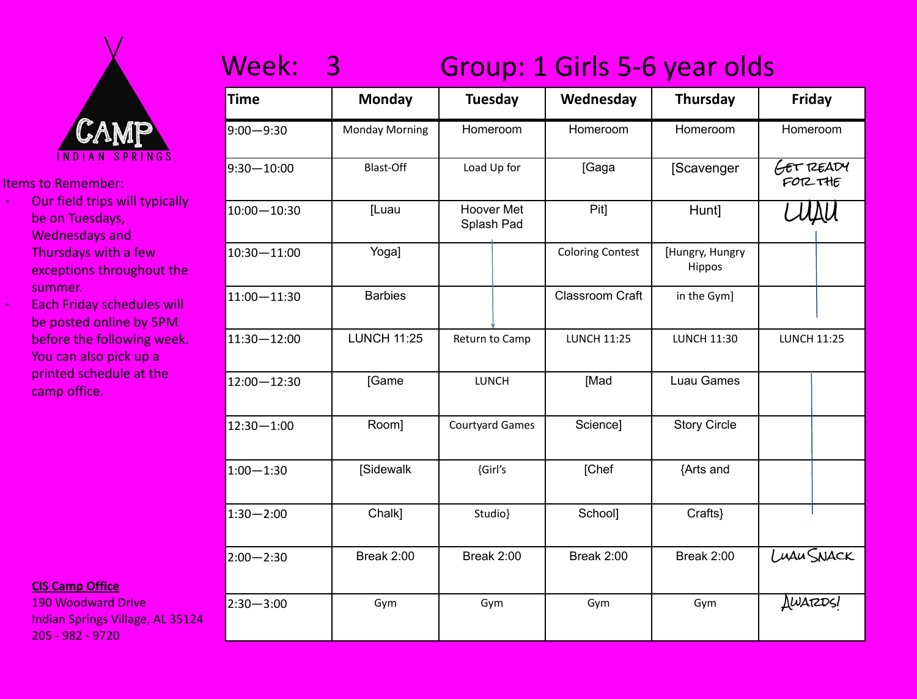

- ∙ Our field trips will typically be on Tuesdays, Wednesdays and Thursdays with a few exceptions throughout the summer.
	- ∙ Each Friday schedules will be posted online by 5PM before the following week. You can also pick up a printed schedule at the camp office.

#### **CIS Camp Office**

190 Woodward Drive Indian Springs Village, AL 35124 205 - 982 - 9720

### Week: 3 Group: 1 Girls 5-6 year olds

| Time            | <b>Monday</b>         | <b>Tuesday</b>                  | Wednesday               | <b>Thursday</b>           | <b>Friday</b>               |  |
|-----------------|-----------------------|---------------------------------|-------------------------|---------------------------|-----------------------------|--|
| $9:00 - 9:30$   | <b>Monday Morning</b> | Homeroom                        | Homeroom                | Homeroom                  | Homeroom                    |  |
| $9:30 - 10:00$  | Blast-Off             | Load Up for                     | [Gaga                   | [Scavenger                | <b>GET READY</b><br>FOR THE |  |
| 10:00-10:30     | [Luau                 | <b>Hoover Met</b><br>Splash Pad | Pit]                    | Hunt]                     |                             |  |
| 10:30-11:00     | Yoga]                 |                                 | <b>Coloring Contest</b> | [Hungry, Hungry<br>Hippos |                             |  |
| $11:00 - 11:30$ | <b>Barbies</b>        |                                 | Classroom Craft         | in the Gym]               |                             |  |
| $11:30 - 12:00$ | <b>LUNCH 11:25</b>    | Return to Camp                  | <b>LUNCH 11:25</b>      | <b>LUNCH 11:30</b>        | <b>LUNCH 11:25</b>          |  |
| 12:00-12:30     | [Game                 | <b>LUNCH</b>                    | [Mad                    | Luau Games                |                             |  |
| $12:30 - 1:00$  | Room]                 | <b>Courtyard Games</b>          | Science]                | <b>Story Circle</b>       |                             |  |
| $1:00 - 1:30$   | [Sidewalk             | {Girl's                         | [Chef                   | {Arts and                 |                             |  |
| $1:30 - 2:00$   | Chalk]                | Studio}                         | School]                 | Crafts}                   |                             |  |
| $2:00 - 2:30$   | Break 2:00            | Break 2:00                      | Break 2:00              | Break 2:00                | LUAU SNACK                  |  |
| $2:30 - 3:00$   | Gym                   | Gym                             | Gym                     | Gym                       | AWARDS!                     |  |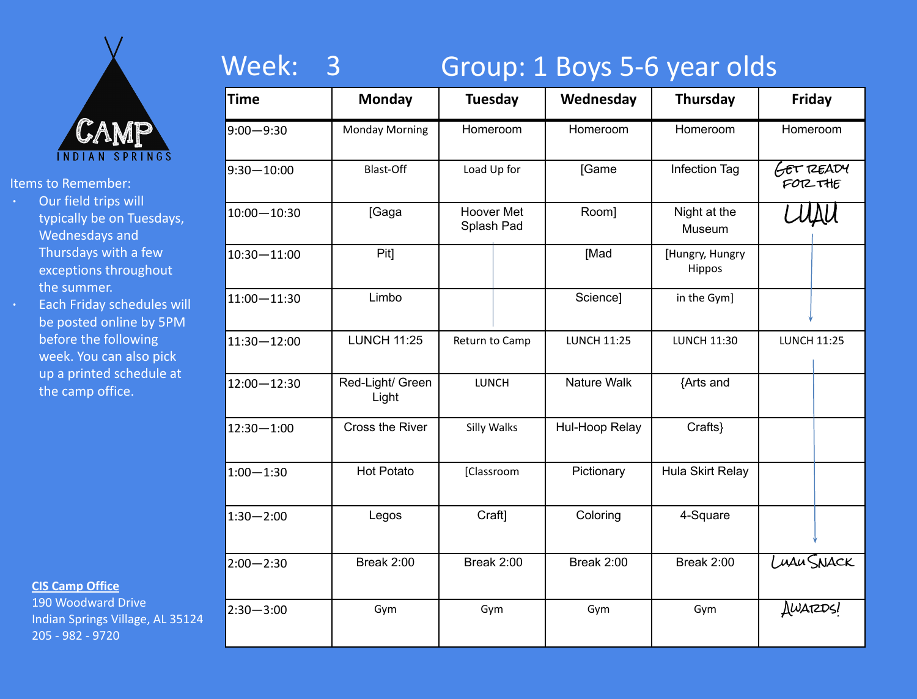

- ∙ Our field trips will typically be on Tuesdays, Wednesdays and Thursdays with a few exceptions throughout the summer.
- ∙ Each Friday schedules will be posted online by 5PM before the following week. You can also pick up a printed schedule at the camp office.

### **CIS Camp Office**

190 Woodward Drive Indian Springs Village, AL 35124 205 - 982 - 9720

# Week: 3 Group: 1 Boys 5-6 year olds

| <b>Time</b>     | <b>Monday</b>             | <b>Tuesday</b>                  |  | Wednesday          | <b>Thursday</b>           | <b>Friday</b>       |            |
|-----------------|---------------------------|---------------------------------|--|--------------------|---------------------------|---------------------|------------|
| $9:00 - 9:30$   | <b>Monday Morning</b>     | Homeroom                        |  | Homeroom           | Homeroom                  | Homeroom            |            |
| $9:30 - 10:00$  | Blast-Off                 | Load Up for                     |  | [Game              | Infection Tag             | GET READY<br>FORTHE |            |
| $10:00 - 10:30$ | [Gaga                     | <b>Hoover Met</b><br>Splash Pad |  | Room]              | Night at the<br>Museum    |                     |            |
| $10:30 - 11:00$ | Pit]                      |                                 |  | [Mad               | [Hungry, Hungry<br>Hippos |                     |            |
| $11:00 - 11:30$ | Limbo                     |                                 |  | Science]           | in the Gym]               |                     |            |
| $11:30 - 12:00$ | <b>LUNCH 11:25</b>        | Return to Camp                  |  | <b>LUNCH 11:25</b> | <b>LUNCH 11:30</b>        | <b>LUNCH 11:25</b>  |            |
| $12:00 - 12:30$ | Red-Light/ Green<br>Light | LUNCH                           |  | Nature Walk        | {Arts and                 |                     |            |
| $12:30 - 1:00$  | Cross the River           | Silly Walks                     |  | Hul-Hoop Relay     | Crafts}                   |                     |            |
| $1:00 - 1:30$   | <b>Hot Potato</b>         | [Classroom                      |  | Pictionary         | Hula Skirt Relay          |                     |            |
| $1:30 - 2:00$   | Legos                     | Craft]                          |  | Coloring           | 4-Square                  |                     |            |
| $2:00 - 2:30$   | Break 2:00                | Break 2:00                      |  | Break 2:00         | Break 2:00                |                     | Luau SNACK |
| $2:30 - 3:00$   | Gym                       | Gym                             |  | Gym                | Gym                       | AWARDS!             |            |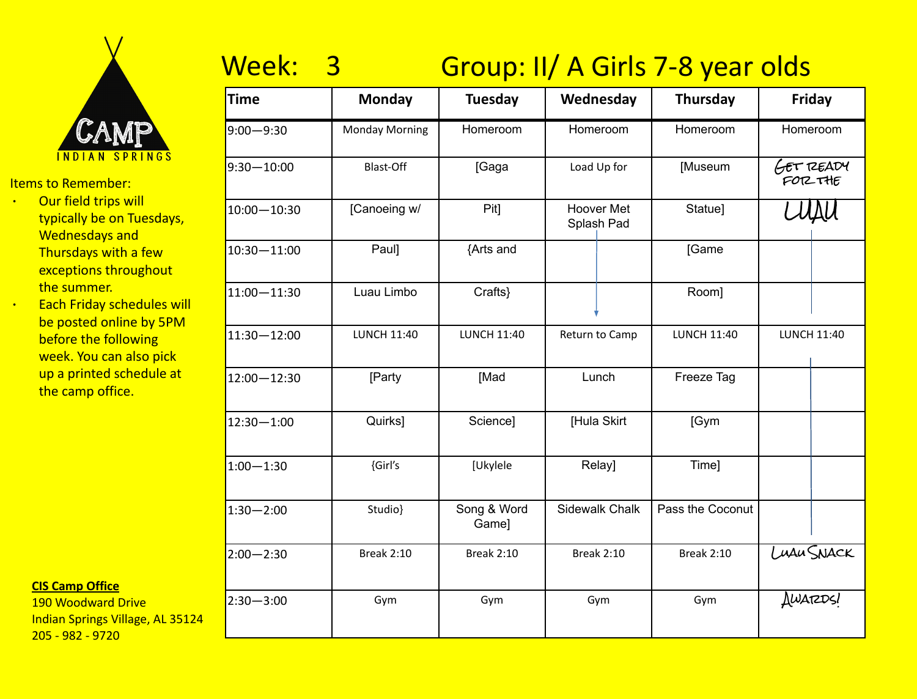

- ∙ Our field trips will typically be on Tuesdays, Wednesdays and Thursdays with a few exceptions throughout the summer.
- ∙ Each Friday schedules will be posted online by 5PM before the following week. You can also pick up a printed schedule at the camp office.

### **CIS Camp Office**

190 Woodward Drive Indian Springs Village, AL 35124 205 - 982 - 9720

# Week: 3 Group: II/ A Girls 7-8 year olds

| <b>Time</b>     | <b>Monday</b>         | <b>Tuesday</b>       | Wednesday                       | <b>Thursday</b>    | Friday                     |  |
|-----------------|-----------------------|----------------------|---------------------------------|--------------------|----------------------------|--|
| $9:00 - 9:30$   | <b>Monday Morning</b> | Homeroom             | Homeroom                        | Homeroom           | Homeroom                   |  |
| $9:30 - 10:00$  | <b>Blast-Off</b>      | [Gaga                | Load Up for                     | [Museum            | <b>GET READY</b><br>FORTHE |  |
| $10:00 - 10:30$ | [Canoeing w/          | Pit]                 | <b>Hoover Met</b><br>Splash Pad | Statue]            |                            |  |
| 10:30-11:00     | Paul]                 | {Arts and            |                                 | [Game              |                            |  |
| 11:00 - 11:30   | Luau Limbo            | Crafts}              |                                 | Room]              |                            |  |
| 11:30-12:00     | <b>LUNCH 11:40</b>    | <b>LUNCH 11:40</b>   | Return to Camp                  | <b>LUNCH 11:40</b> | <b>LUNCH 11:40</b>         |  |
| 12:00-12:30     | [Party                | [Mad                 | Lunch                           | Freeze Tag         |                            |  |
| $12:30 - 1:00$  | Quirks]               | Science]             | [Hula Skirt                     | [Gym               |                            |  |
| $1:00 - 1:30$   | {Girl's               | [Ukylele             | Relay]                          | Time]              |                            |  |
| $1:30 - 2:00$   | Studio}               | Song & Word<br>Game] | Sidewalk Chalk                  | Pass the Coconut   |                            |  |
| $2:00 - 2:30$   | <b>Break 2:10</b>     | <b>Break 2:10</b>    | <b>Break 2:10</b>               | <b>Break 2:10</b>  | LUAU SNACK                 |  |
| $2:30 - 3:00$   | Gym                   | Gym                  | Gym                             | Gym                | AWARDSI                    |  |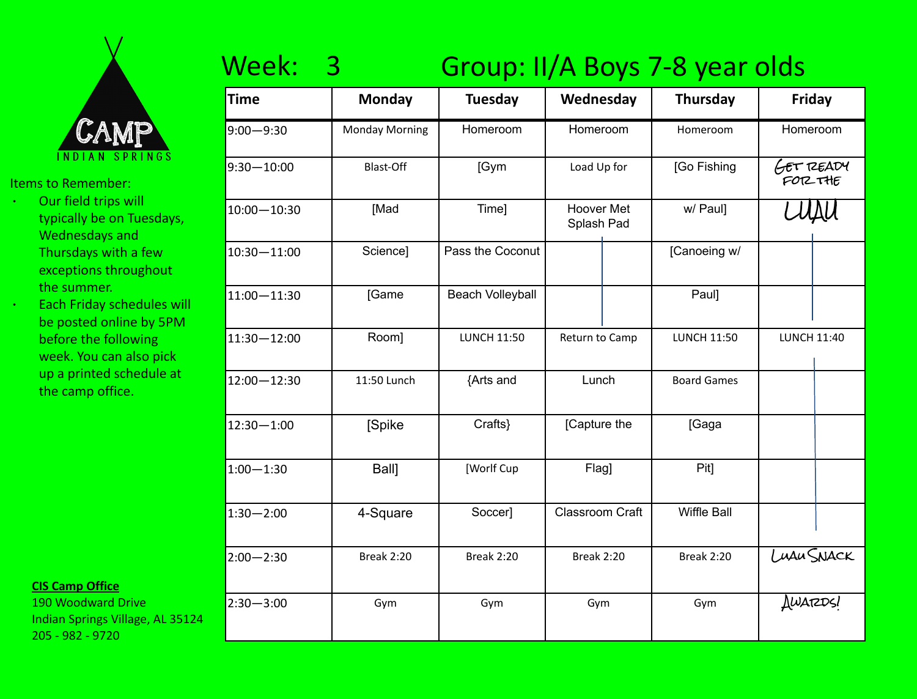

- ∙ Our field trips will typically be on Tuesdays, Wednesdays and Thursdays with a few exceptions throughout the summer.
- ∙ Each Friday schedules will be posted online by 5PM before the following week. You can also pick up a printed schedule at the camp office.

### **CIS Camp Office**

190 Woodward Drive Indian Springs Village, AL 35124 205 - 982 - 9720

# Week: 3 Group: II/A Boys 7-8 year olds

| <b>Time</b>     | <b>Monday</b>         | <b>Tuesday</b>          | Wednesday                       |  | <b>Thursday</b>    |                             | <b>Friday</b> |  |
|-----------------|-----------------------|-------------------------|---------------------------------|--|--------------------|-----------------------------|---------------|--|
| $9:00 - 9:30$   | <b>Monday Morning</b> | Homeroom                | Homeroom                        |  | Homeroom           |                             | Homeroom      |  |
| $9:30 - 10:00$  | <b>Blast-Off</b>      | [Gym                    | Load Up for                     |  | [Go Fishing        | <b>GET READY</b><br>FOR THE |               |  |
| $10:00 - 10:30$ | [Mad                  | Time]                   | <b>Hoover Met</b><br>Splash Pad |  | w/ Paul]           |                             |               |  |
| 10:30-11:00     | Science]              | Pass the Coconut        |                                 |  | [Canoeing w/       |                             |               |  |
| 11:00 - 11:30   | [Game                 | <b>Beach Volleyball</b> |                                 |  | Paul]              |                             |               |  |
| $11:30 - 12:00$ | Room]                 | <b>LUNCH 11:50</b>      | Return to Camp                  |  | <b>LUNCH 11:50</b> | <b>LUNCH 11:40</b>          |               |  |
| 12:00-12:30     | 11:50 Lunch           | {Arts and               | Lunch                           |  | <b>Board Games</b> |                             |               |  |
| $12:30 - 1:00$  | [Spike                | Crafts}                 | [Capture the                    |  | [Gaga              |                             |               |  |
| $1:00 - 1:30$   | Ball]                 | [Worlf Cup              | Flag]                           |  | Pit]               |                             |               |  |
| $1:30 - 2:00$   | 4-Square              | Soccer]                 | <b>Classroom Craft</b>          |  | Wiffle Ball        |                             |               |  |
| $2:00 - 2:30$   | <b>Break 2:20</b>     | <b>Break 2:20</b>       | <b>Break 2:20</b>               |  | <b>Break 2:20</b>  |                             | LUAU SNACK    |  |
| $2:30 - 3:00$   | Gym                   | Gym                     | Gym                             |  | Gym                | AWARDS!                     |               |  |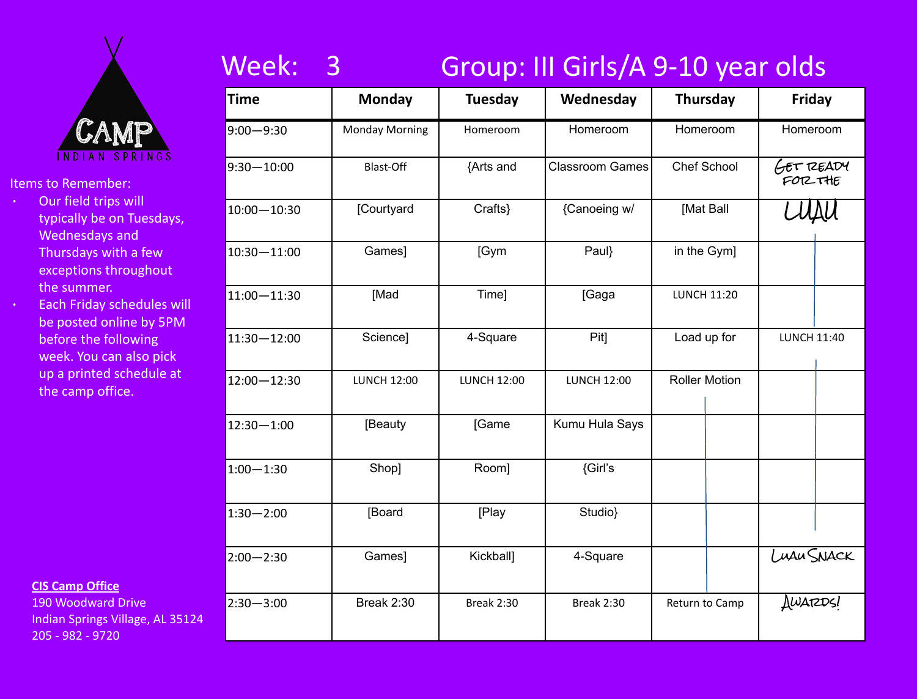

- ∙ Our field trips will typically be on Tuesdays, Wednesdays and Thursdays with a few exceptions throughout the summer.
- ∙ Each Friday schedules will be posted online by 5PM before the following week. You can also pick up a printed schedule at the camp office.

### **CIS Camp Office**

190 Woodward Drive Indian Springs Village, AL 35124 205 - 982 - 9720

# Week: 3 Group: III Girls/A 9-10 year olds

| <b>Time</b>     | <b>Monday</b>         | <b>Tuesday</b>     | Wednesday              | <b>Thursday</b>      | Friday              |
|-----------------|-----------------------|--------------------|------------------------|----------------------|---------------------|
| $9:00 - 9:30$   | <b>Monday Morning</b> | Homeroom           | Homeroom               | Homeroom             | Homeroom            |
| $9:30 - 10:00$  | Blast-Off             | {Arts and          | <b>Classroom Games</b> | <b>Chef School</b>   | GET READY<br>FORTHE |
| $10:00 - 10:30$ | [Courtyard            | Crafts}            | {Canoeing w/           | [Mat Ball            |                     |
| 10:30-11:00     | Games]                | [Gym               | Paul}                  | in the Gym]          |                     |
| $11:00 - 11:30$ | [Mad                  | Time]              | [Gaga                  | <b>LUNCH 11:20</b>   |                     |
| 11:30-12:00     | Science]              | 4-Square           | Pit]                   | Load up for          | <b>LUNCH 11:40</b>  |
| 12:00-12:30     | <b>LUNCH 12:00</b>    | <b>LUNCH 12:00</b> | <b>LUNCH 12:00</b>     | <b>Roller Motion</b> |                     |
| $12:30 - 1:00$  | [Beauty               | [Game              | Kumu Hula Says         |                      |                     |
| $1:00 - 1:30$   | Shop]                 | Room]              | {Girl's                |                      |                     |
| $1:30 - 2:00$   | [Board                | [Play              | Studio}                |                      |                     |
| $2:00 - 2:30$   | Games]                | Kickball]          | 4-Square               |                      | LUAU SNACK          |
| $2:30 - 3:00$   | <b>Break 2:30</b>     | <b>Break 2:30</b>  | <b>Break 2:30</b>      | Return to Camp       | AWARDS!             |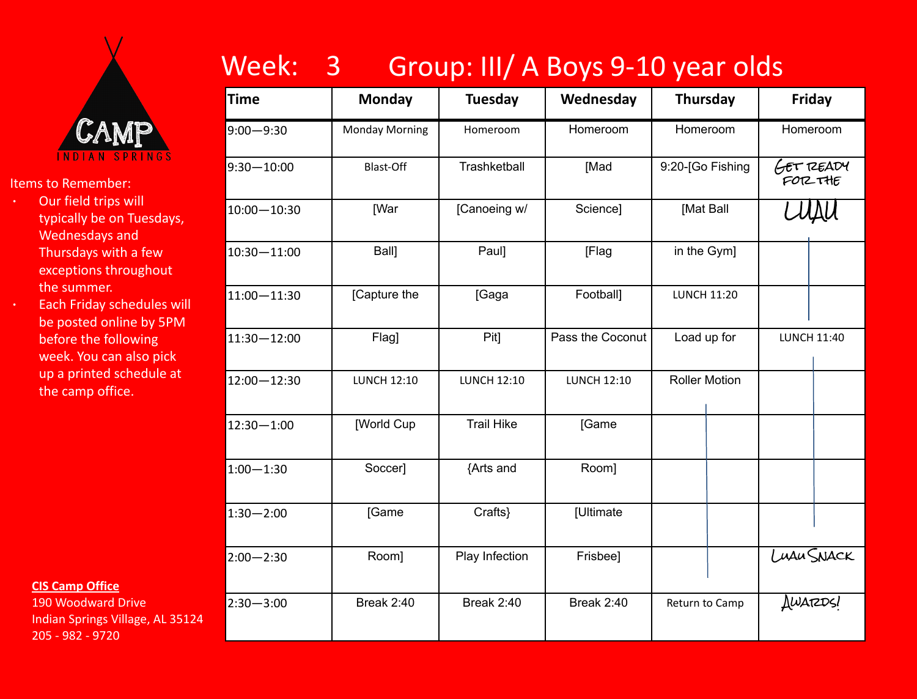

- ∙ Our field trips will typically be on Tuesdays, Wednesdays and Thursdays with a few exceptions throughout the summer.
- ∙ Each Friday schedules will be posted online by 5PM before the following week. You can also pick up a printed schedule at the camp office.

**CIS Camp Office**

190 Woodward Drive Indian Springs Village, AL 35124 205 - 982 - 9720

# Week: 3 Group: III/ A Boys 9-10 year olds

| <b>Time</b>     | <b>Monday</b>         | <b>Tuesday</b>     | Wednesday          | <b>Thursday</b>      | <b>Friday</b>       |
|-----------------|-----------------------|--------------------|--------------------|----------------------|---------------------|
| $9:00 - 9:30$   | <b>Monday Morning</b> | Homeroom           | Homeroom           | Homeroom             | Homeroom            |
| $9:30 - 10:00$  | Blast-Off             | Trashketball       | [Mad               | 9:20-[Go Fishing     | GET READY<br>FORTHE |
| $10:00 - 10:30$ | <b>[War</b>           | [Canoeing w/       | Science]           | [Mat Ball            |                     |
| 10:30-11:00     | Ball]                 | Paul]              | [Flag              | in the Gym]          |                     |
| $11:00 - 11:30$ | [Capture the          | [Gaga              | Football]          | <b>LUNCH 11:20</b>   |                     |
| $11:30 - 12:00$ | Flag]                 | Pit]               | Pass the Coconut   | Load up for          | <b>LUNCH 11:40</b>  |
| 12:00-12:30     | <b>LUNCH 12:10</b>    | <b>LUNCH 12:10</b> | <b>LUNCH 12:10</b> | <b>Roller Motion</b> |                     |
| $12:30 - 1:00$  | [World Cup            | <b>Trail Hike</b>  | [Game              |                      |                     |
| $1:00 - 1:30$   | Soccer]               | {Arts and          | Room]              |                      |                     |
| $1:30 - 2:00$   | [Game                 | Crafts}            | [Ultimate          |                      |                     |
| $2:00 - 2:30$   | Room]                 | Play Infection     | Frisbee]           |                      | LUAU SNACK          |
| $2:30 - 3:00$   | Break 2:40            | <b>Break 2:40</b>  | <b>Break 2:40</b>  | Return to Camp       | AWARDS!             |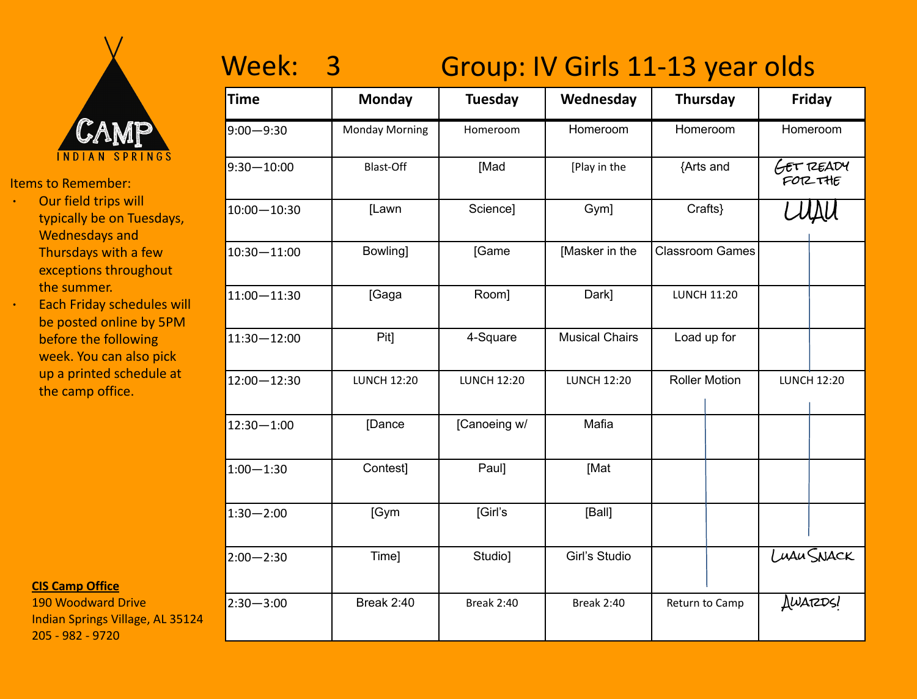

- ∙ Our field trips will typically be on Tuesdays, Wednesdays and Thursdays with a few exceptions throughout the summer.
- ∙ Each Friday schedules will be posted online by 5PM before the following week. You can also pick up a printed schedule at the camp office.

**CIS Camp Office**

190 Woodward Drive Indian Springs Village, AL 35124 205 - 982 - 9720

# Week: 3 Group: IV Girls 11-13 year olds

| Time            | <b>Monday</b>         | <b>Tuesday</b>     | Wednesday             | <b>Thursday</b>        | Friday               |  |
|-----------------|-----------------------|--------------------|-----------------------|------------------------|----------------------|--|
| $9:00 - 9:30$   | <b>Monday Morning</b> | Homeroom           | Homeroom              | Homeroom               | Homeroom             |  |
| $9:30 - 10:00$  | <b>Blast-Off</b>      | [Mad               | [Play in the          | {Arts and              | GET READY<br>FOR THE |  |
| 10:00-10:30     | [Lawn                 | Science]           | Gym]                  | Crafts}                |                      |  |
| 10:30-11:00     | Bowling]              | [Game              | [Masker in the        | <b>Classroom Games</b> |                      |  |
| $11:00 - 11:30$ | [Gaga                 | Room]              | Dark]                 | <b>LUNCH 11:20</b>     |                      |  |
| 11:30-12:00     | Pit]                  | 4-Square           | <b>Musical Chairs</b> | Load up for            |                      |  |
| $12:00 - 12:30$ | <b>LUNCH 12:20</b>    | <b>LUNCH 12:20</b> | <b>LUNCH 12:20</b>    | <b>Roller Motion</b>   | <b>LUNCH 12:20</b>   |  |
| $12:30 - 1:00$  | [Dance                | [Canoeing w/       | Mafia                 |                        |                      |  |
| $1:00 - 1:30$   | Contest]              | Paul]              | [Mat                  |                        |                      |  |
| $1:30 - 2:00$   | [Gym                  | [Girl's            | [Ball]                |                        |                      |  |
| $2:00 - 2:30$   | Time]                 | Studio]            | Girl's Studio         |                        | LUAU SNACK           |  |
| $2:30 - 3:00$   | <b>Break 2:40</b>     | <b>Break 2:40</b>  | <b>Break 2:40</b>     | Return to Camp         | <b>AWARDS!</b>       |  |